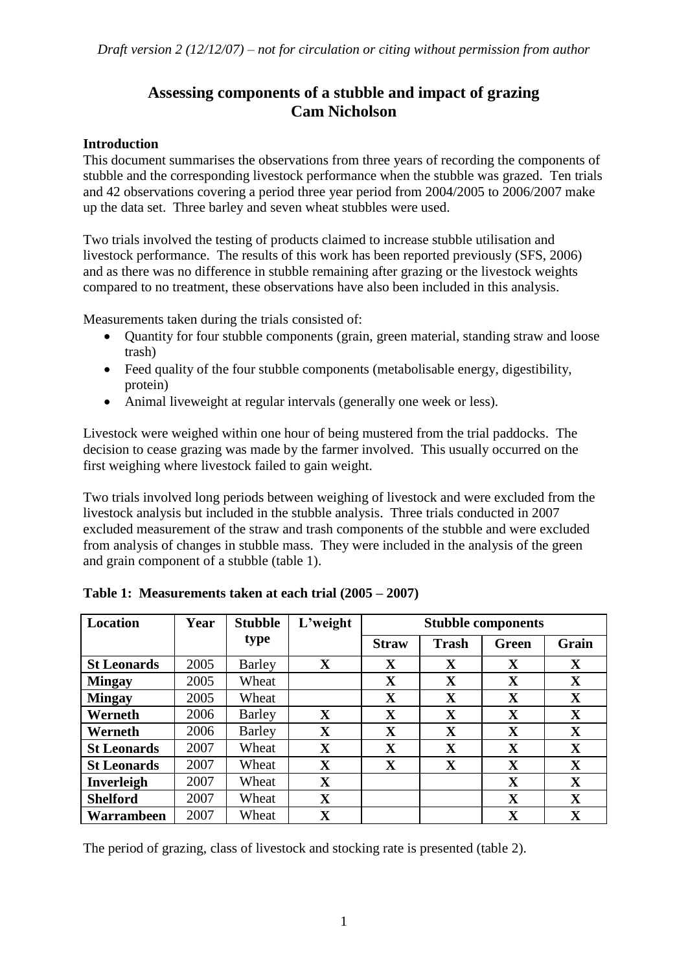# **Assessing components of a stubble and impact of grazing Cam Nicholson**

#### **Introduction**

This document summarises the observations from three years of recording the components of stubble and the corresponding livestock performance when the stubble was grazed. Ten trials and 42 observations covering a period three year period from 2004/2005 to 2006/2007 make up the data set. Three barley and seven wheat stubbles were used.

Two trials involved the testing of products claimed to increase stubble utilisation and livestock performance. The results of this work has been reported previously (SFS, 2006) and as there was no difference in stubble remaining after grazing or the livestock weights compared to no treatment, these observations have also been included in this analysis.

Measurements taken during the trials consisted of:

- Ouantity for four stubble components (grain, green material, standing straw and loose trash)
- Feed quality of the four stubble components (metabolisable energy, digestibility, protein)
- Animal liveweight at regular intervals (generally one week or less).

Livestock were weighed within one hour of being mustered from the trial paddocks. The decision to cease grazing was made by the farmer involved. This usually occurred on the first weighing where livestock failed to gain weight.

Two trials involved long periods between weighing of livestock and were excluded from the livestock analysis but included in the stubble analysis. Three trials conducted in 2007 excluded measurement of the straw and trash components of the stubble and were excluded from analysis of changes in stubble mass. They were included in the analysis of the green and grain component of a stubble (table 1).

| <b>Location</b>    | Year | <b>Stubble</b> | L'weight    | <b>Stubble components</b> |              |              |             |
|--------------------|------|----------------|-------------|---------------------------|--------------|--------------|-------------|
|                    |      | type           |             | <b>Straw</b>              | <b>Trash</b> | <b>Green</b> | Grain       |
| <b>St Leonards</b> | 2005 | Barley         | $\mathbf X$ | $\mathbf X$               | $\mathbf X$  | X            | $\mathbf X$ |
| <b>Mingay</b>      | 2005 | Wheat          |             | $\mathbf X$               | X            | X            | $\mathbf X$ |
| <b>Mingay</b>      | 2005 | Wheat          |             | X                         | X            | X            | $\mathbf X$ |
| Werneth            | 2006 | Barley         | X           | $\mathbf X$               | X            | X            | $\mathbf X$ |
| Werneth            | 2006 | Barley         | $\mathbf X$ | X                         | X            | X            | $\mathbf X$ |
| <b>St Leonards</b> | 2007 | Wheat          | X           | $\mathbf{X}$              | X            | X            | $\mathbf X$ |
| <b>St Leonards</b> | 2007 | Wheat          | X           | $\mathbf X$               | X            | X            | $\mathbf X$ |
| <b>Inverleigh</b>  | 2007 | Wheat          | X           |                           |              | X            | $\mathbf X$ |
| <b>Shelford</b>    | 2007 | Wheat          | X           |                           |              | X            | $\mathbf X$ |
| Warrambeen         | 2007 | Wheat          | $\mathbf X$ |                           |              | $\mathbf X$  | $\mathbf X$ |

**Table 1: Measurements taken at each trial (2005 – 2007)**

The period of grazing, class of livestock and stocking rate is presented (table 2).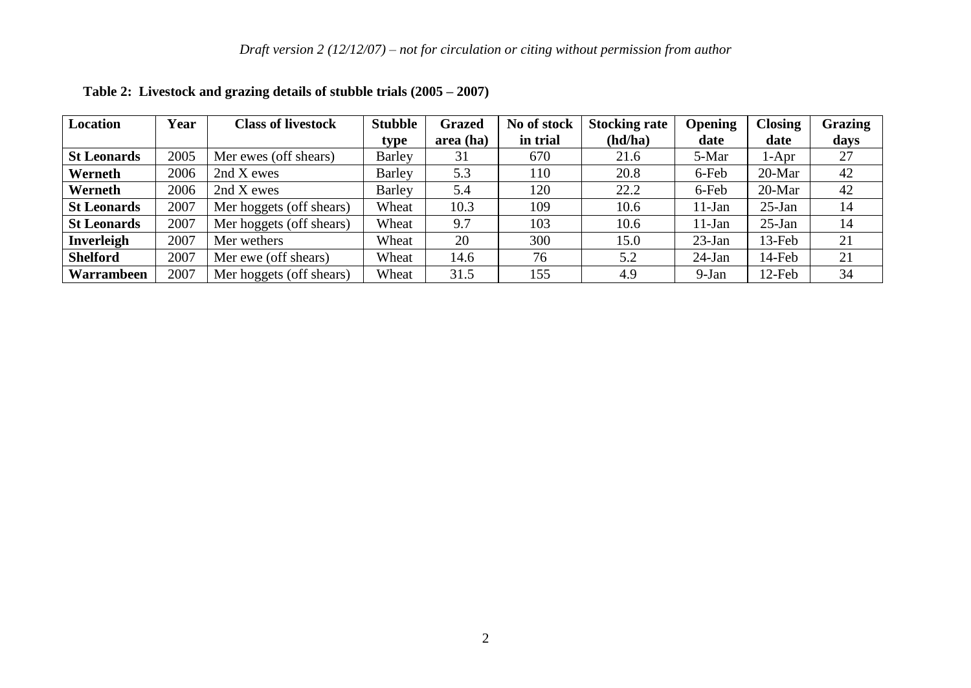| Location           | Year | <b>Class of livestock</b> | <b>Stubble</b> | <b>Grazed</b> | No of stock | <b>Stocking rate</b> | <b>Opening</b> | <b>Closing</b> | Grazing |
|--------------------|------|---------------------------|----------------|---------------|-------------|----------------------|----------------|----------------|---------|
|                    |      |                           | type           | area (ha)     | in trial    | (hd/ha)              | date           | date           | days    |
| <b>St Leonards</b> | 2005 | Mer ewes (off shears)     | <b>Barley</b>  | 31            | 670         | 21.6                 | 5-Mar          | 1-Apr          | 27      |
| Werneth            | 2006 | 2nd X ewes                | <b>Barley</b>  | 5.3           | 110         | 20.8                 | 6-Feb          | $20-Mar$       | 42      |
| Werneth            | 2006 | 2nd X ewes                | <b>Barley</b>  | 5.4           | 120         | 22.2                 | 6-Feb          | $20-Mar$       | 42      |
| <b>St Leonards</b> | 2007 | Mer hoggets (off shears)  | Wheat          | 10.3          | 109         | 10.6                 | $11-Jan$       | $25$ -Jan      | 14      |
| <b>St Leonards</b> | 2007 | Mer hoggets (off shears)  | Wheat          | 9.7           | 103         | 10.6                 | $11-Jan$       | $25$ -Jan      | 14      |
| <b>Inverleigh</b>  | 2007 | Mer wethers               | Wheat          | 20            | 300         | 15.0                 | $23$ -Jan      | 13-Feb         | 21      |
| <b>Shelford</b>    | 2007 | Mer ewe (off shears)      | Wheat          | 14.6          | 76          | 5.2                  | $24$ -Jan      | 14-Feb         | 21      |
| Warrambeen         | 2007 | Mer hoggets (off shears)  | Wheat          | 31.5          | 155         | 4.9                  | $9-Jan$        | $12$ -Feb      | 34      |

# **Table 2: Livestock and grazing details of stubble trials (2005 – 2007)**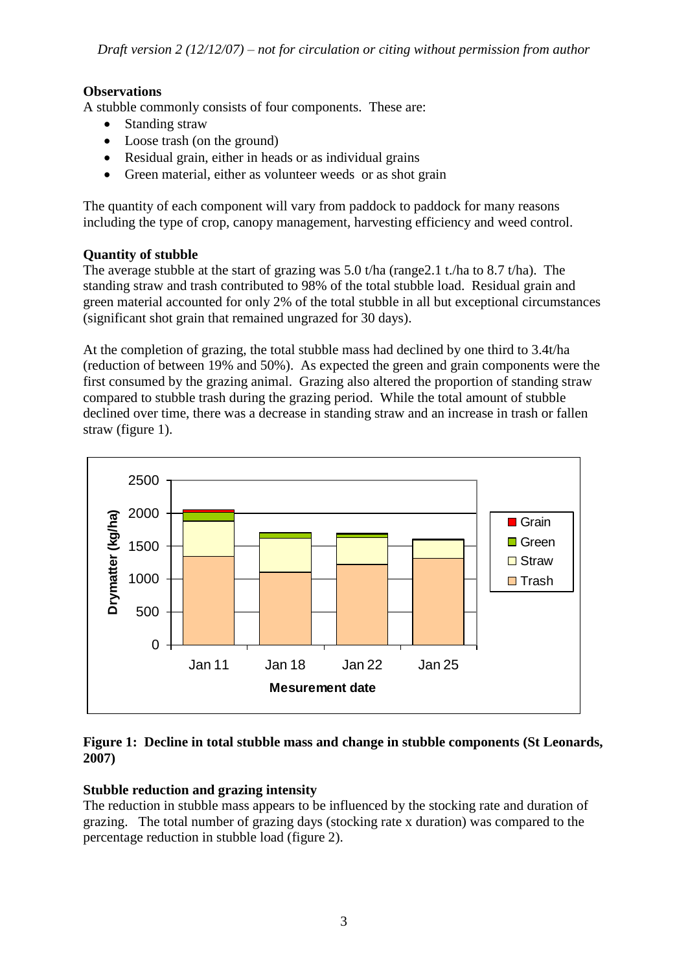## **Observations**

A stubble commonly consists of four components. These are:

- Standing straw
- Loose trash (on the ground)
- Residual grain, either in heads or as individual grains
- Green material, either as volunteer weeds or as shot grain

The quantity of each component will vary from paddock to paddock for many reasons including the type of crop, canopy management, harvesting efficiency and weed control.

### **Quantity of stubble**

The average stubble at the start of grazing was 5.0 t/ha (range2.1 t./ha to 8.7 t/ha). The standing straw and trash contributed to 98% of the total stubble load. Residual grain and green material accounted for only 2% of the total stubble in all but exceptional circumstances (significant shot grain that remained ungrazed for 30 days).

At the completion of grazing, the total stubble mass had declined by one third to 3.4t/ha (reduction of between 19% and 50%). As expected the green and grain components were the first consumed by the grazing animal. Grazing also altered the proportion of standing straw compared to stubble trash during the grazing period. While the total amount of stubble declined over time, there was a decrease in standing straw and an increase in trash or fallen straw (figure 1).



#### **Figure 1: Decline in total stubble mass and change in stubble components (St Leonards, 2007)**

## **Stubble reduction and grazing intensity**

The reduction in stubble mass appears to be influenced by the stocking rate and duration of grazing. The total number of grazing days (stocking rate x duration) was compared to the percentage reduction in stubble load (figure 2).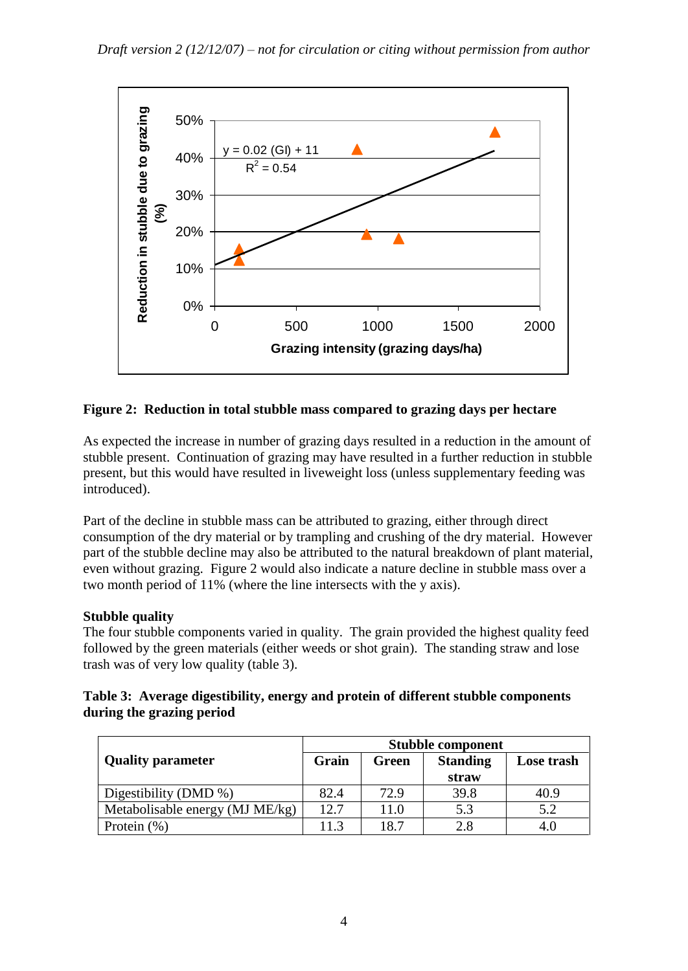

### **Figure 2: Reduction in total stubble mass compared to grazing days per hectare**

As expected the increase in number of grazing days resulted in a reduction in the amount of stubble present. Continuation of grazing may have resulted in a further reduction in stubble present, but this would have resulted in liveweight loss (unless supplementary feeding was introduced).

Part of the decline in stubble mass can be attributed to grazing, either through direct consumption of the dry material or by trampling and crushing of the dry material. However part of the stubble decline may also be attributed to the natural breakdown of plant material, even without grazing. Figure 2 would also indicate a nature decline in stubble mass over a two month period of 11% (where the line intersects with the y axis).

#### **Stubble quality**

The four stubble components varied in quality. The grain provided the highest quality feed followed by the green materials (either weeds or shot grain). The standing straw and lose trash was of very low quality (table 3).

#### **Table 3: Average digestibility, energy and protein of different stubble components during the grazing period**

|                                 | <b>Stubble component</b> |       |                          |            |  |
|---------------------------------|--------------------------|-------|--------------------------|------------|--|
| <b>Quality parameter</b>        | Grain                    | Green | <b>Standing</b><br>straw | Lose trash |  |
| Digestibility (DMD $\%$ )       | 82.4                     | 72.9  | 39.8                     | 40.9       |  |
| Metabolisable energy (MJ ME/kg) | 12.7                     | 11.0  | 5.3                      | 5.2        |  |
| Protein $(\% )$                 | 11.3                     | 18.7  | 2.8                      | 4.0        |  |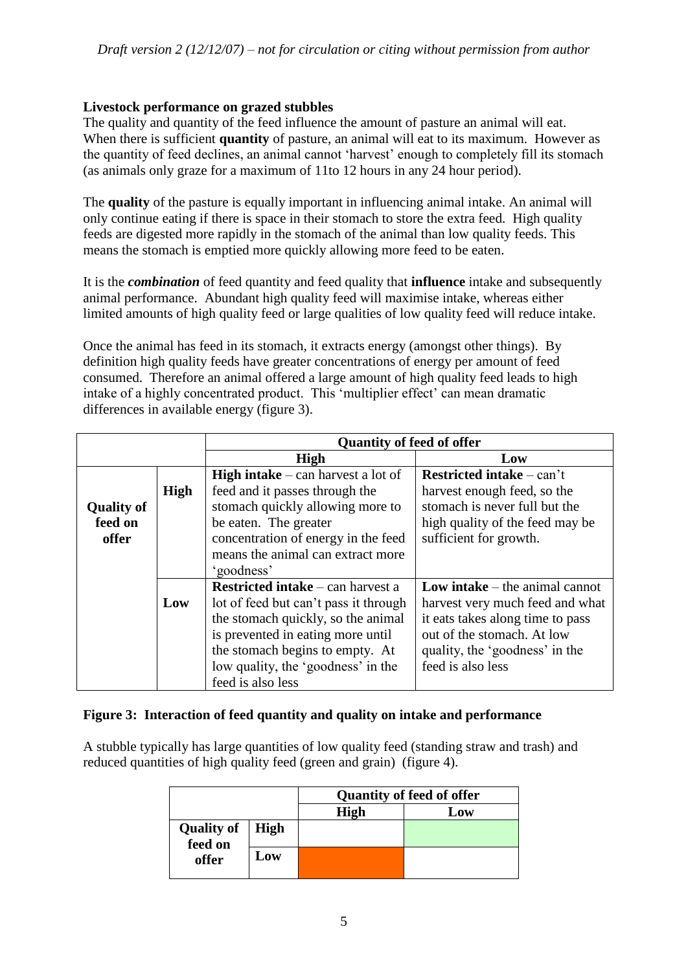#### **Livestock performance on grazed stubbles**

The quality and quantity of the feed influence the amount of pasture an animal will eat. When there is sufficient **quantity** of pasture, an animal will eat to its maximum. However as the quantity of feed declines, an animal cannot 'harvest' enough to completely fill its stomach (as animals only graze for a maximum of 11to 12 hours in any 24 hour period).

The **quality** of the pasture is equally important in influencing animal intake. An animal will only continue eating if there is space in their stomach to store the extra feed. High quality feeds are digested more rapidly in the stomach of the animal than low quality feeds. This means the stomach is emptied more quickly allowing more feed to be eaten.

It is the *combination* of feed quantity and feed quality that **influence** intake and subsequently animal performance. Abundant high quality feed will maximise intake, whereas either limited amounts of high quality feed or large qualities of low quality feed will reduce intake.

Once the animal has feed in its stomach, it extracts energy (amongst other things). By definition high quality feeds have greater concentrations of energy per amount of feed consumed. Therefore an animal offered a large amount of high quality feed leads to high intake of a highly concentrated product. This 'multiplier effect' can mean dramatic differences in available energy (figure 3).

|                   |             | <b>Quantity of feed of offer</b>          |                                       |  |  |
|-------------------|-------------|-------------------------------------------|---------------------------------------|--|--|
|                   |             | High                                      | Low                                   |  |  |
|                   |             | <b>High intake</b> – can harvest a lot of | <b>Restricted intake</b> – can't      |  |  |
|                   | <b>High</b> | feed and it passes through the            | harvest enough feed, so the           |  |  |
| <b>Quality of</b> |             | stomach quickly allowing more to          | stomach is never full but the         |  |  |
| feed on           |             | be eaten. The greater                     | high quality of the feed may be       |  |  |
| offer             |             | concentration of energy in the feed       | sufficient for growth.                |  |  |
|                   |             | means the animal can extract more         |                                       |  |  |
|                   |             | 'goodness'                                |                                       |  |  |
|                   |             | <b>Restricted intake</b> – can harvest a  | <b>Low intake</b> – the animal cannot |  |  |
|                   | Low         | lot of feed but can't pass it through     | harvest very much feed and what       |  |  |
|                   |             | the stomach quickly, so the animal        | it eats takes along time to pass      |  |  |
|                   |             | is prevented in eating more until         | out of the stomach. At low            |  |  |
|                   |             | the stomach begins to empty. At           | quality, the 'goodness' in the        |  |  |
|                   |             | low quality, the 'goodness' in the        | feed is also less                     |  |  |
|                   |             | feed is also less                         |                                       |  |  |

#### **Figure 3: Interaction of feed quantity and quality on intake and performance**

A stubble typically has large quantities of low quality feed (standing straw and trash) and reduced quantities of high quality feed (green and grain) (figure 4).

|                                     |     | <b>Quantity of feed of offer</b> |     |  |
|-------------------------------------|-----|----------------------------------|-----|--|
|                                     |     | High                             | Low |  |
| <b>Quality of   High</b><br>feed on |     |                                  |     |  |
| offer                               | Low |                                  |     |  |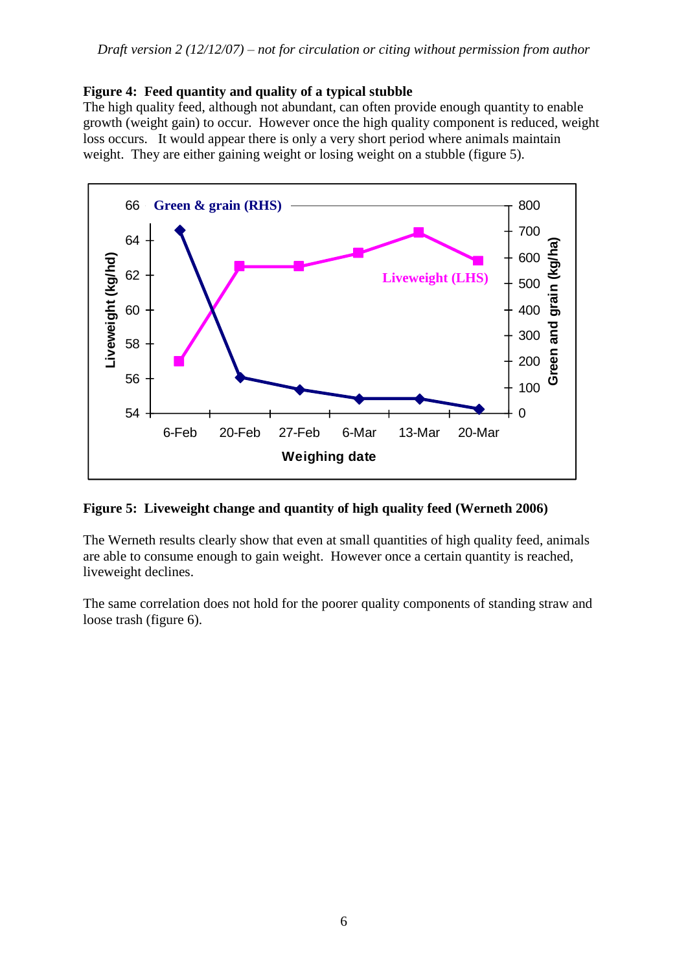#### **Figure 4: Feed quantity and quality of a typical stubble**

The high quality feed, although not abundant, can often provide enough quantity to enable growth (weight gain) to occur. However once the high quality component is reduced, weight loss occurs. It would appear there is only a very short period where animals maintain weight. They are either gaining weight or losing weight on a stubble (figure 5).



#### **Figure 5: Liveweight change and quantity of high quality feed (Werneth 2006)**

The Werneth results clearly show that even at small quantities of high quality feed, animals are able to consume enough to gain weight. However once a certain quantity is reached, liveweight declines.

The same correlation does not hold for the poorer quality components of standing straw and loose trash (figure 6).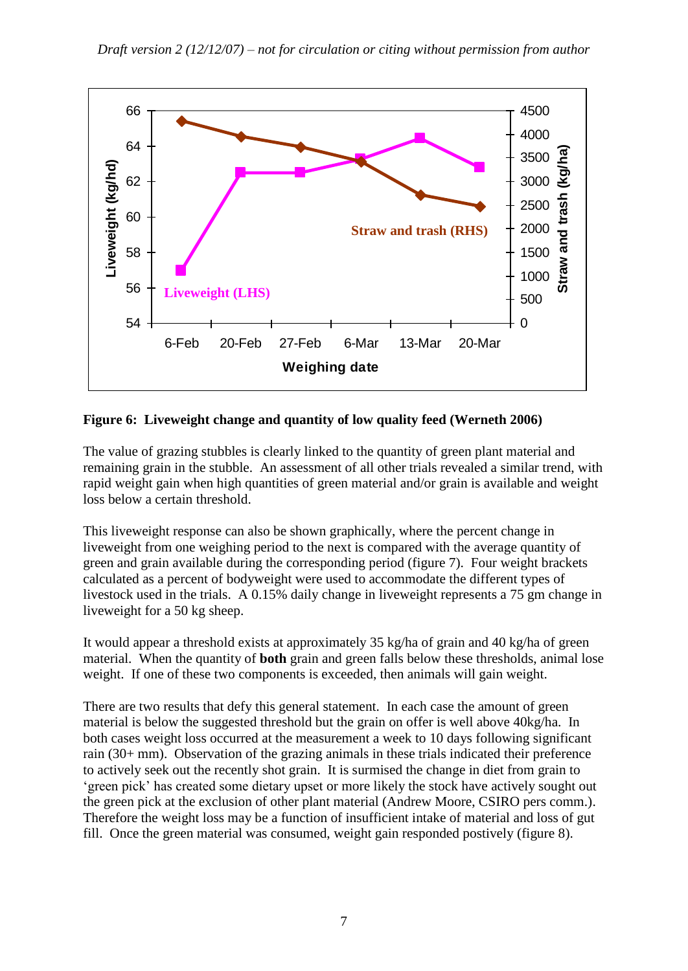

**Figure 6: Liveweight change and quantity of low quality feed (Werneth 2006)**

The value of grazing stubbles is clearly linked to the quantity of green plant material and remaining grain in the stubble. An assessment of all other trials revealed a similar trend, with rapid weight gain when high quantities of green material and/or grain is available and weight loss below a certain threshold.

This liveweight response can also be shown graphically, where the percent change in liveweight from one weighing period to the next is compared with the average quantity of green and grain available during the corresponding period (figure 7). Four weight brackets calculated as a percent of bodyweight were used to accommodate the different types of livestock used in the trials. A 0.15% daily change in liveweight represents a 75 gm change in liveweight for a 50 kg sheep.

It would appear a threshold exists at approximately 35 kg/ha of grain and 40 kg/ha of green material. When the quantity of **both** grain and green falls below these thresholds, animal lose weight. If one of these two components is exceeded, then animals will gain weight.

There are two results that defy this general statement. In each case the amount of green material is below the suggested threshold but the grain on offer is well above 40kg/ha. In both cases weight loss occurred at the measurement a week to 10 days following significant rain (30+ mm). Observation of the grazing animals in these trials indicated their preference to actively seek out the recently shot grain. It is surmised the change in diet from grain to 'green pick' has created some dietary upset or more likely the stock have actively sought out the green pick at the exclusion of other plant material (Andrew Moore, CSIRO pers comm.). Therefore the weight loss may be a function of insufficient intake of material and loss of gut fill. Once the green material was consumed, weight gain responded postively (figure 8).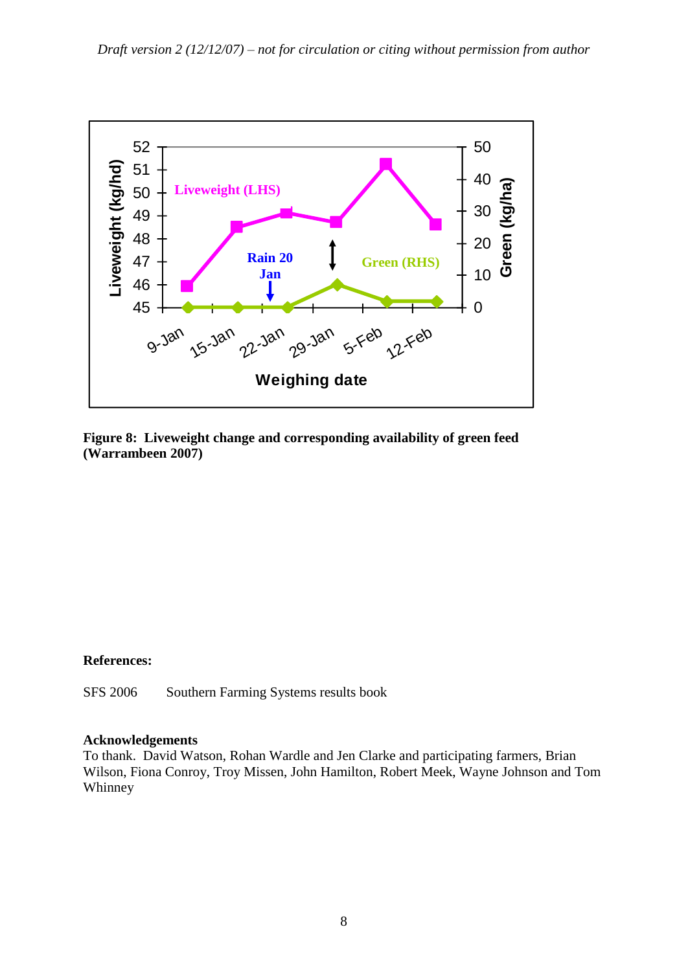

**Figure 8: Liveweight change and corresponding availability of green feed (Warrambeen 2007)**

#### **References:**

SFS 2006 Southern Farming Systems results book

#### **Acknowledgements**

To thank. David Watson, Rohan Wardle and Jen Clarke and participating farmers, Brian Wilson, Fiona Conroy, Troy Missen, John Hamilton, Robert Meek, Wayne Johnson and Tom Whinney